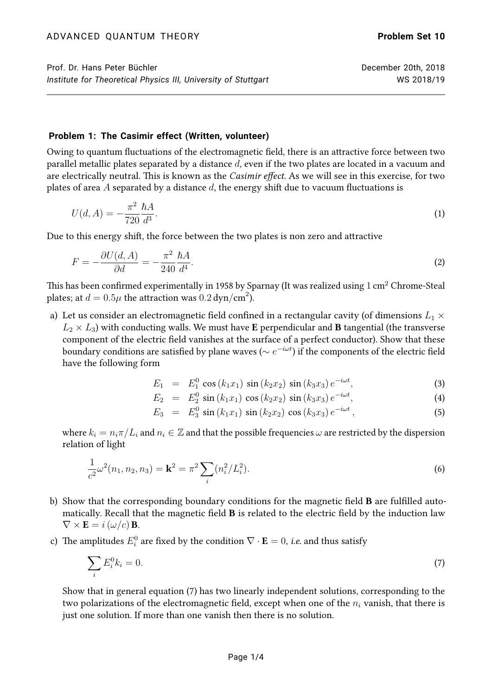## **Problem 1: The Casimir effect (Written, volunteer)**

Owing to quantum fluctuations of the electromagnetic field, there is an attractive force between two parallel metallic plates separated by a distance  $d$ , even if the two plates are located in a vacuum and are electrically neutral. This is known as the Casimir effect. As we will see in this exercise, for two plates of area A separated by a distance  $d$ , the energy shift due to vacuum fluctuations is

$$
U(d, A) = -\frac{\pi^2}{720} \frac{\hbar A}{d^3}.
$$
\n(1)

Due to this energy shift, the force between the two plates is non zero and attractive

$$
F = -\frac{\partial U(d, A)}{\partial d} = -\frac{\pi^2}{240} \frac{\hbar A}{d^4}.
$$
\n<sup>(2)</sup>

This has been confirmed experimentally in 1958 by Sparnay (It was realized using 1 cm<sup>2</sup> Chrome-Steal plates; at  $d = 0.5\mu$  the attraction was  $0.2\,\text{dyn/cm}^2$ ).

a) Let us consider an electromagnetic field confined in a rectangular cavity (of dimensions  $L_1 \times$  $L_2 \times L_3$ ) with conducting walls. We must have E perpendicular and B tangential (the transverse component of the electric field vanishes at the surface of a perfect conductor). Show that these boundary conditions are satisfied by plane waves ( $\sim e^{-i\omega t}$ ) if the components of the electric field have the following form

$$
E_1 = E_1^0 \cos(k_1 x_1) \sin(k_2 x_2) \sin(k_3 x_3) e^{-i\omega t}, \qquad (3)
$$

$$
E_2 = E_2^0 \sin(k_1 x_1) \cos(k_2 x_2) \sin(k_3 x_3) e^{-i\omega t}, \qquad (4)
$$

<span id="page-0-1"></span><span id="page-0-0"></span>
$$
E_3 = E_3^0 \sin(k_1 x_1) \sin(k_2 x_2) \cos(k_3 x_3) e^{-i\omega t}, \qquad (5)
$$

where  $k_i = n_i \pi / L_i$  and  $n_i \in \mathbb{Z}$  and that the possible frequencies  $\omega$  are restricted by the dispersion relation of light

$$
\frac{1}{c^2}\omega^2(n_1, n_2, n_3) = \mathbf{k}^2 = \pi^2 \sum_i (n_i^2/L_i^2).
$$
 (6)

- b) Show that the corresponding boundary conditions for the magnetic field B are fulfilled automatically. Recall that the magnetic field B is related to the electric field by the induction law  $\nabla \times \mathbf{E} = i \left( \omega / c \right) \mathbf{B}.$
- c) The amplitudes  $E_i^0$  are fixed by the condition  $\nabla \cdot {\bf E} = 0$ , *i.e.* and thus satisfy

$$
\sum_{i} E_i^0 k_i = 0. \tag{7}
$$

Show that in general equation [\(7\)](#page-0-0) has two linearly independent solutions, corresponding to the two polarizations of the electromagnetic field, except when one of the  $n_i$  vanish, that there is just one solution. If more than one vanish then there is no solution.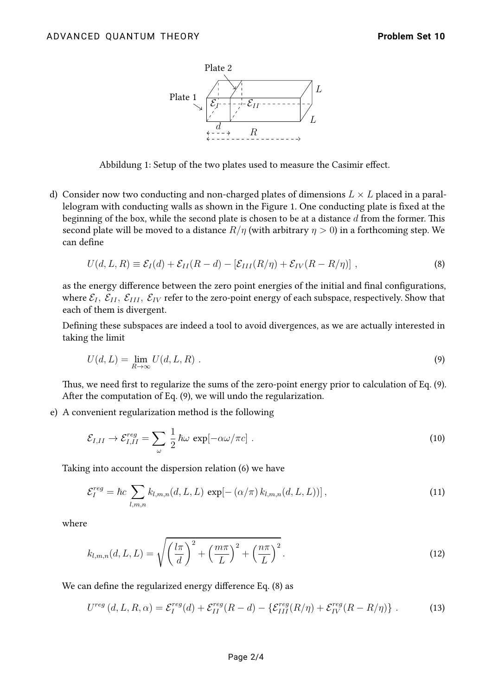

Abbildung 1: Setup of the two plates used to measure the Casimir effect.

d) Consider now two conducting and non-charged plates of dimensions  $L \times L$  placed in a parallelogram with conducting walls as shown in the Figure 1. One conducting plate is fixed at the beginning of the box, while the second plate is chosen to be at a distance  $d$  from the former. This second plate will be moved to a distance  $R/\eta$  (with arbitrary  $\eta > 0$ ) in a forthcoming step. We can define

<span id="page-1-1"></span>
$$
U(d, L, R) \equiv \mathcal{E}_I(d) + \mathcal{E}_{II}(R - d) - [\mathcal{E}_{III}(R/\eta) + \mathcal{E}_{IV}(R - R/\eta)] \tag{8}
$$

as the energy difference between the zero point energies of the initial and final configurations, where  $\mathcal{E}_I$ ,  $\mathcal{E}_{II}$ ,  $\mathcal{E}_{III}$ ,  $\mathcal{E}_{IV}$  refer to the zero-point energy of each subspace, respectively. Show that each of them is divergent.

Defining these subspaces are indeed a tool to avoid divergences, as we are actually interested in taking the limit

<span id="page-1-0"></span>
$$
U(d, L) = \lim_{R \to \infty} U(d, L, R) \tag{9}
$$

Thus, we need first to regularize the sums of the zero-point energy prior to calculation of Eq. [\(9\)](#page-1-0). After the computation of Eq. [\(9\)](#page-1-0), we will undo the regularization.

e) A convenient regularization method is the following

$$
\mathcal{E}_{I,II} \to \mathcal{E}_{I,II}^{reg} = \sum_{\omega} \frac{1}{2} \hbar \omega \, \exp[-\alpha \omega/\pi c] \; . \tag{10}
$$

Taking into account the dispersion relation [\(6\)](#page-0-1) we have

<span id="page-1-2"></span>
$$
\mathcal{E}_I^{reg} = \hbar c \sum_{l,m,n} k_{l,m,n}(d,L,L) \exp[-(\alpha/\pi) k_{l,m,n}(d,L,L))], \qquad (11)
$$

where

$$
k_{l,m,n}(d,L,L) = \sqrt{\left(\frac{l\pi}{d}\right)^2 + \left(\frac{m\pi}{L}\right)^2 + \left(\frac{n\pi}{L}\right)^2}.
$$
\n(12)

We can define the regularized energy difference Eq. [\(8\)](#page-1-1) as

<span id="page-1-3"></span>
$$
U^{reg}\left(d,L,R,\alpha\right) = \mathcal{E}_I^{reg}(d) + \mathcal{E}_{II}^{reg}(R-d) - \left\{ \mathcal{E}_{III}^{reg}(R/\eta) + \mathcal{E}_{IV}^{reg}(R-R/\eta) \right\} \,. \tag{13}
$$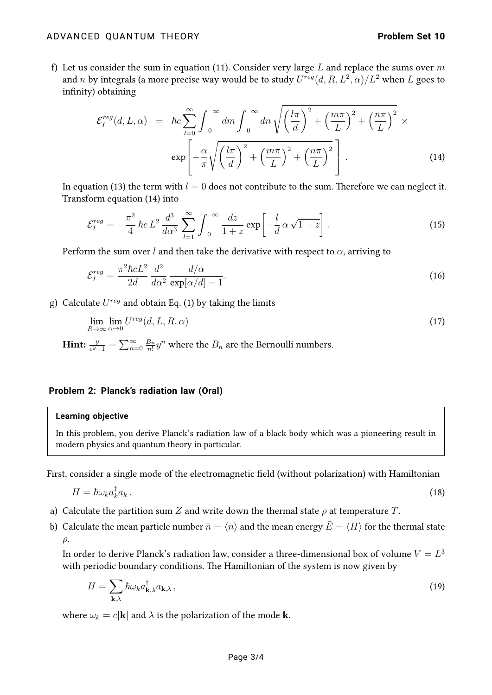f) Let us consider the sum in equation [\(11\)](#page-1-2). Consider very large L and replace the sums over  $m$ and n by integrals (a more precise way would be to study  $U^{reg}(d, R, L^2, \alpha)/L^2$  when  $L$  goes to infinity) obtaining

<span id="page-2-0"></span>
$$
\mathcal{E}_{I}^{reg}(d, L, \alpha) = \hbar c \sum_{l=0}^{\infty} \int_{0}^{\infty} dm \int_{0}^{\infty} dm \sqrt{\left(\frac{l\pi}{d}\right)^{2} + \left(\frac{m\pi}{L}\right)^{2} + \left(\frac{n\pi}{L}\right)^{2}} \times \exp\left[-\frac{\alpha}{\pi} \sqrt{\left(\frac{l\pi}{d}\right)^{2} + \left(\frac{m\pi}{L}\right)^{2} + \left(\frac{n\pi}{L}\right)^{2}}\right].
$$
\n(14)

In equation [\(13\)](#page-1-3) the term with  $l = 0$  does not contribute to the sum. Therefore we can neglect it. Transform equation [\(14\)](#page-2-0) into

$$
\mathcal{E}_I^{reg} = -\frac{\pi^2}{4}\,\hbar c\,L^2\,\frac{d^3}{d\alpha^3}\,\sum_{l=1}^{\infty}\int_0^{\infty}\frac{dz}{1+z}\exp\left[-\frac{l}{d}\,\alpha\,\sqrt{1+z}\right].\tag{15}
$$

Perform the sum over l and then take the derivative with respect to  $\alpha$ , arriving to

$$
\mathcal{E}_I^{reg} = \frac{\pi^2 \hbar c L^2}{2d} \frac{d^2}{d\alpha^2} \frac{d/\alpha}{\exp[\alpha/d] - 1}.
$$
\n(16)

g) Calculate  $U^{reg}$  and obtain Eq. (1) by taking the limits

$$
\lim_{R \to \infty} \lim_{\alpha \to 0} U^{reg}(d, L, R, \alpha) \tag{17}
$$

Hint:  $\frac{y}{e^{y}-1} = \sum_{n=0}^{\infty} \frac{B_n}{n!}$  $\frac{B_n}{n!} y^n$  where the  $B_n$  are the Bernoulli numbers.

## **Problem 2: Planck's radiation law (Oral)**

## **Learning objective**

In this problem, you derive Planck's radiation law of a black body which was a pioneering result in modern physics and quantum theory in particular.

First, consider a single mode of the electromagnetic field (without polarization) with Hamiltonian

$$
H = \hbar \omega_k a_k^{\dagger} a_k \,. \tag{18}
$$

- a) Calculate the partition sum Z and write down the thermal state  $\rho$  at temperature T.
- b) Calculate the mean particle number  $\bar{n} = \langle n \rangle$  and the mean energy  $\bar{E} = \langle H \rangle$  for the thermal state  $\rho$ .

In order to derive Planck's radiation law, consider a three-dimensional box of volume  $V=L^3$ with periodic boundary conditions. The Hamiltonian of the system is now given by

$$
H = \sum_{\mathbf{k},\lambda} \hbar \omega_k a_{\mathbf{k},\lambda}^\dagger a_{\mathbf{k},\lambda}, \qquad (19)
$$

where  $\omega_k = c|\mathbf{k}|$  and  $\lambda$  is the polarization of the mode **k**.